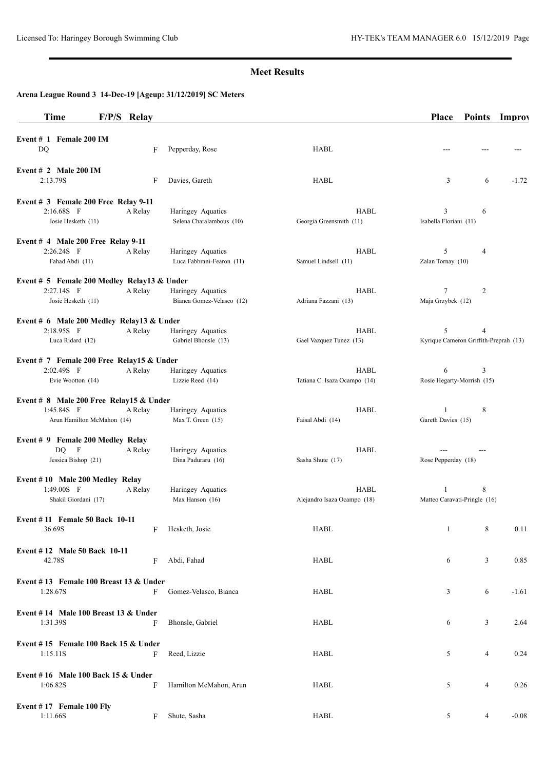## **Meet Results**

# **Arena League Round 3 14-Dec-19 [Ageup: 31/12/2019] SC Meters**

| Time                                                | F/P/S Relay |                                                |                                             | <b>Place</b>                               | <b>Points</b>  | <b>Improv</b> |
|-----------------------------------------------------|-------------|------------------------------------------------|---------------------------------------------|--------------------------------------------|----------------|---------------|
| Event # 1 Female 200 IM<br>DQ                       | F           | Pepperday, Rose                                | HABL                                        |                                            |                |               |
| Event $# 2$ Male 200 IM<br>2:13.79S                 | F           | Davies, Gareth                                 | HABL                                        | 3                                          | 6              | $-1.72$       |
| Event # 3 Female 200 Free Relay 9-11<br>2:16.68S F  | A Relay     | Haringey Aquatics                              | HABL                                        | 3                                          | 6              |               |
| Josie Hesketh (11)                                  |             | Selena Charalambous (10)                       | Georgia Greensmith (11)                     | Isabella Floriani (11)                     |                |               |
| Event $#$ 4 Male 200 Free Relay 9-11                |             |                                                |                                             |                                            |                |               |
| 2:26.24S F<br>Fahad Abdi (11)                       | A Relay     | Haringey Aquatics<br>Luca Fabbrani-Fearon (11) | HABL<br>Samuel Lindsell (11)                | 5<br>Zalan Tornay (10)                     | 4              |               |
| Event # 5 Female 200 Medley Relay13 & Under         |             |                                                |                                             |                                            |                |               |
| 2:27.14S F<br>Josie Hesketh (11)                    | A Relay     | Haringey Aquatics<br>Bianca Gomez-Velasco (12) | HABL<br>Adriana Fazzani (13)                | $\tau$<br>Maja Grzybek (12)                | $\overline{c}$ |               |
| Event # 6 Male 200 Medley Relay13 & Under           |             |                                                |                                             |                                            |                |               |
| 2:18.95S F<br>Luca Ridard (12)                      | A Relay     | Haringey Aquatics<br>Gabriel Bhonsle (13)      | <b>HABL</b><br>Gael Vazquez Tunez (13)      | 5<br>Kyrique Cameron Griffith-Preprah (13) | 4              |               |
| Event # 7 Female 200 Free Relay15 & Under           |             |                                                |                                             |                                            |                |               |
| 2:02.49S F<br>Evie Wootton (14)                     | A Relay     | Haringey Aquatics<br>Lizzie Reed (14)          | <b>HABL</b><br>Tatiana C. Isaza Ocampo (14) | 6<br>Rosie Hegarty-Morrish (15)            | 3              |               |
| Event # 8 Male 200 Free Relay15 & Under             |             |                                                |                                             |                                            |                |               |
| 1:45.84S F<br>Arun Hamilton McMahon (14)            | A Relay     | Haringey Aquatics<br>Max T. Green (15)         | <b>HABL</b><br>Faisal Abdi (14)             | $\mathbf{1}$<br>Gareth Davies (15)         | 8              |               |
| Event # 9 Female 200 Medley Relay<br>$DQ$ F         | A Relay     | Haringey Aquatics                              | HABL                                        |                                            |                |               |
| Jessica Bishop (21)                                 |             | Dina Paduraru (16)                             | Sasha Shute (17)                            | Rose Pepperday (18)                        |                |               |
| Event #10 Male 200 Medley Relay                     |             |                                                |                                             |                                            |                |               |
| 1:49.00S F<br>Shakil Giordani (17)                  | A Relay     | Haringey Aquatics<br>Max Hanson (16)           | <b>HABL</b><br>Alejandro Isaza Ocampo (18)  | 1<br>Matteo Caravati-Pringle (16)          | 8              |               |
| Event #11 Female 50 Back 10-11<br>36.69S            | F           | Hesketh, Josie                                 | HABL                                        | 1                                          | 8              | 0.11          |
| <b>Event #12 Male 50 Back 10-11</b><br>42.78S       | F           | Abdi, Fahad                                    | HABL                                        | 6                                          | 3              | 0.85          |
| Event #13 Female 100 Breast 13 $&$ Under            |             |                                                |                                             |                                            |                |               |
| 1:28.67S                                            | F           | Gomez-Velasco, Bianca                          | HABL                                        | 3                                          | 6              | $-1.61$       |
| Event $# 14$ Male 100 Breast 13 & Under<br>1:31.39S | F           | Bhonsle, Gabriel                               | HABL                                        | 6                                          | 3              | 2.64          |
| Event #15 Female 100 Back 15 $&$ Under<br>1:15.11S  | F           | Reed, Lizzie                                   | HABL                                        | 5                                          | $\overline{4}$ | 0.24          |
| Event #16 Male 100 Back 15 $&$ Under<br>1:06.82S    | F           | Hamilton McMahon, Arun                         | HABL                                        | 5                                          | $\overline{4}$ | 0.26          |
| Event #17 Female 100 Fly<br>1:11.66S                | F           | Shute, Sasha                                   | HABL                                        | 5                                          | 4              | $-0.08$       |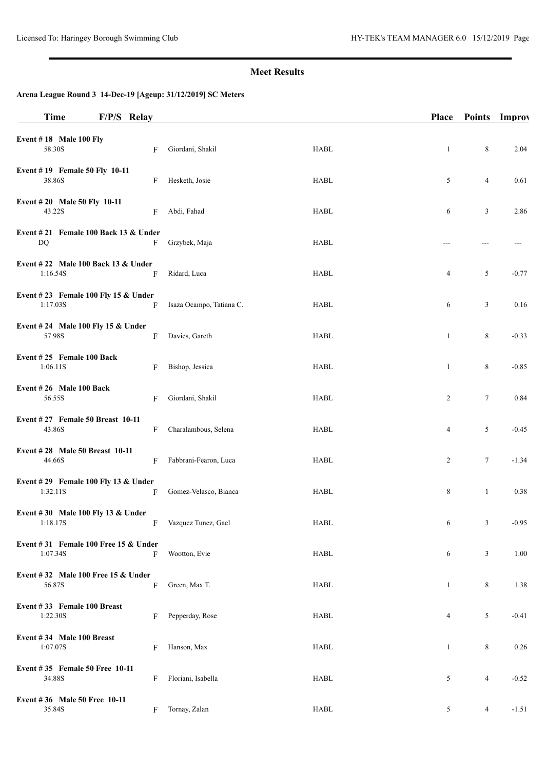## **Meet Results**

# **Arena League Round 3 14-Dec-19 [Ageup: 31/12/2019] SC Meters**

| <b>Time</b>                                         | F/P/S Relay |   |                          |                                | Place        | <b>Points</b>  | <b>Improv</b> |
|-----------------------------------------------------|-------------|---|--------------------------|--------------------------------|--------------|----------------|---------------|
| Event $# 18$ Male 100 Fly<br>58.30S                 |             | F | Giordani, Shakil         | <b>HABL</b>                    | -1           | $\,8\,$        | 2.04          |
| Event #19 Female 50 Fly 10-11<br>38.86S             |             | F | Hesketh, Josie           | <b>HABL</b>                    | 5            | $\overline{4}$ | 0.61          |
| Event #20 Male 50 Fly 10-11<br>43.22S               |             | F | Abdi, Fahad              | HABL                           | 6            | 3              | 2.86          |
| Event $\# 21$ Female 100 Back 13 & Under<br>DQ      |             | F | Grzybek, Maja            | HABL                           |              |                |               |
| Event #22 Male 100 Back 13 & Under<br>1:16.54S      |             | F | Ridard, Luca             | <b>HABL</b>                    | 4            | 5              | $-0.77$       |
| Event #23 Female 100 Fly 15 $&$ Under<br>1:17.03S   |             | F | Isaza Ocampo, Tatiana C. | HABL                           | 6            | 3              | 0.16          |
| Event #24 Male 100 Fly 15 & Under<br>57.98S         |             | F | Davies, Gareth           | HABL                           | 1            | $\,8\,$        | $-0.33$       |
| Event #25 Female 100 Back<br>1:06.11S               |             | F | Bishop, Jessica          | <b>HABL</b>                    | 1            | 8              | $-0.85$       |
| Event #26 Male 100 Back<br>56.55S                   |             | F | Giordani, Shakil         | HABL                           | 2            | $\tau$         | 0.84          |
| Event #27 Female 50 Breast 10-11<br>43.86S          |             | F | Charalambous, Selena     | HABL                           | 4            | 5              | $-0.45$       |
| Event #28 Male 50 Breast 10-11<br>44.66S            |             | F | Fabbrani-Fearon, Luca    | HABL                           | 2            | 7              | $-1.34$       |
| Event #29 Female 100 Fly 13 & Under<br>1:32.11S     |             | F | Gomez-Velasco, Bianca    | HABL                           | 8            | $\mathbf{1}$   | 0.38          |
| Event #30 Male 100 Fly 13 & Under<br>1:18.17S       |             | F | Vazquez Tunez, Gael      | ${\rm H}{\bf A}{\bf B}{\bf L}$ | 6            | 3              | $-0.95$       |
| Event $\#31$ Female 100 Free 15 & Under<br>1:07.34S |             | F | Wootton, Evie            | <b>HABL</b>                    | 6            | 3              | 1.00          |
| Event #32 Male 100 Free 15 $&$ Under<br>56.87S      |             | F | Green, Max T.            | HABL                           | 1            | $\,8\,$        | 1.38          |
| Event #33 Female 100 Breast<br>1:22.30S             |             | F | Pepperday, Rose          | HABL                           | 4            | 5              | $-0.41$       |
| Event #34 Male 100 Breast<br>1:07.07S               |             | F | Hanson, Max              | <b>HABL</b>                    | $\mathbf{1}$ | $\,8\,$        | 0.26          |
| Event #35 Female 50 Free 10-11<br>34.88S            |             | F | Floriani, Isabella       | HABL                           | 5            | $\overline{4}$ | $-0.52$       |
| Event #36 Male 50 Free 10-11<br>35.84S              |             | F | Tornay, Zalan            | <b>HABL</b>                    | 5            | $\overline{4}$ | $-1.51$       |